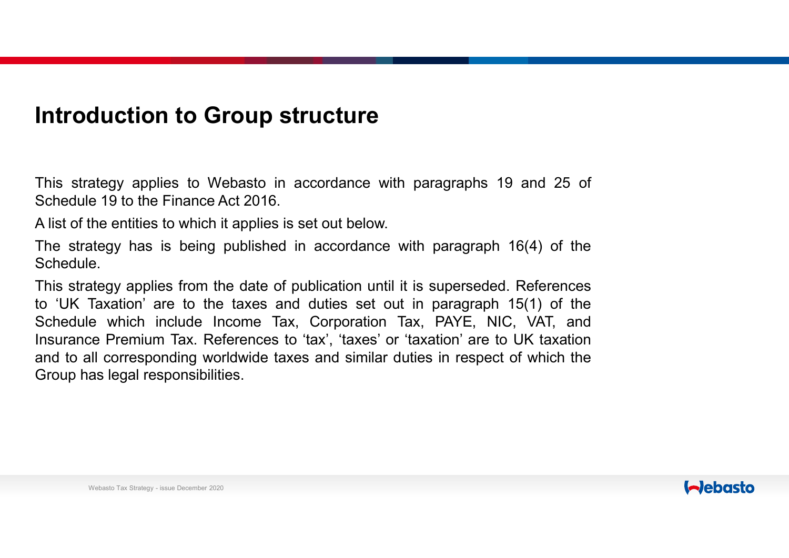### Introduction to Group structure

**Introduction to Group structure**<br>This strategy applies to Webasto in accordance with paragraphs 19 and 25 of<br>Schedule 19 to the Finance Act 2016.<br>A list of the entities to which it applies is set out below.<br>The strategy h **Introduction to Group structure**<br>This strategy applies to Webasto in accordance with paragraphs 19 and<br>Schedule 19 to the Finance Act 2016.<br>A list of the entities to which it applies is set out below.<br>The strategy has is **Introduction to Group structure**<br>This strategy applies to Webasto in accordance with paragraphs 19 and 25 of<br>Schedule 19 to the Finance Act 2016.<br>A list of the entities to which it applies is set out below.<br>The strategy h **Introduction to Group structure**<br>This strategy applies to Webasto in accordance with paragraphs 19 and 25 of<br>Schedule 19 to the Finance Act 2016.<br>A list of the entities to which it applies is set out below.<br>The strategy h

Schedule.

**Introduction to Group structure**<br>This strategy applies to Webasto in accordance with paragraphs 19 and 25 of<br>Schedule 19 to the Finance Act 2016.<br>A list of the entities to which it applies is set out below.<br>This strategy **Introduction to Group structure**<br>This strategy applies to Webasto in accordance with paragraphs 19 and 25 of<br>Schedule 19 to the Finance Act 2016.<br>A list of the entities to which it applies is set out below.<br>The strategy h **Introduction to Group structure**<br>This strategy applies to Webasto in accordance with paragraphs 19 and 25 of<br>Schedule 19 to the Finance Act 2016.<br>A list of the entities to which it applies is set out below.<br>The strategy h **Introduction to Group structure**<br>This strategy applies to Webasto in accordance with paragraphs 19 and 25 of<br>Schedule 19 to the Finance Act 2016.<br>A list of the entities to which it applies is set out below.<br>The strategy h **This strategy applies to Webasto in accordance with paragraphs 19 and 25 of Schedule 19 to the Finance Act 2016.**<br>
Alist of the entities to which it applies is set out below.<br>
Alist of the entities to which it applies is This strategy applies to Webasto in accordance with parag<br>Schedule 19 to the Finance Act 2016.<br>A list of the entities to which it applies is set out below.<br>The strategy has is being published in accordance with pal<br>Schedul ategy has is being published in accordance with parage.<br>
Hegy applies from the date of publication until it is super<br>
Taxation' are to the taxes and duties set out in parage<br>
e which include Income Tax, Corporation Tax, PA

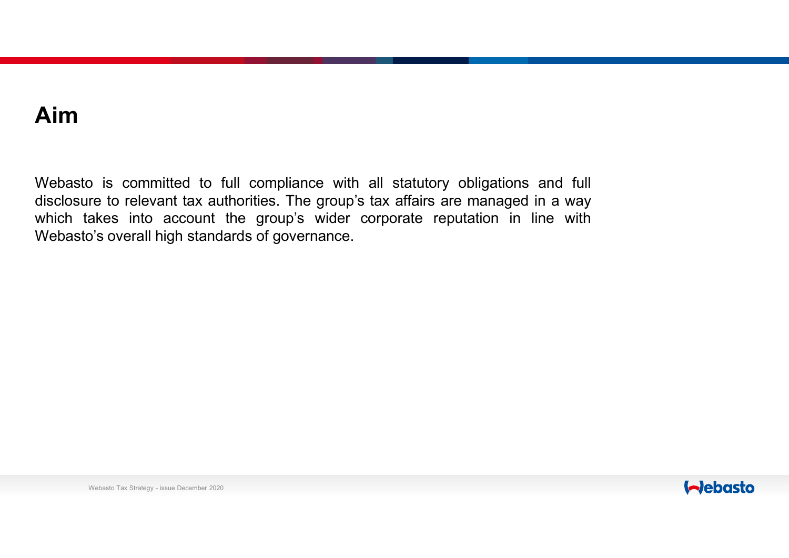## Aim

**Aim**<br>Webasto is committed to full compliance with all statutory obligations and full<br>disclosure to relevant tax authorities. The group's tax affairs are managed in a way<br>which takes into account the group's wider corporat **Aim**<br>Webasto is committed to full compliance with all statutory obligations and full<br>disclosure to relevant tax authorities. The group's tax affairs are managed in a way<br>Webasto's overall high standards of governance. **Aim**<br>Webasto is committed to full compliance with all statutory obligations and full<br>disclosure to relevant tax authorities. The group's tax affairs are managed in a way<br>which takes into account the group's wider corporat **Aim**<br>Webasto is committed to full compliance with all statutory obligations and fulsclosure to relevant tax authorities. The group's tax affairs are managed in a way<br>which takes into account the group's wider corporate re

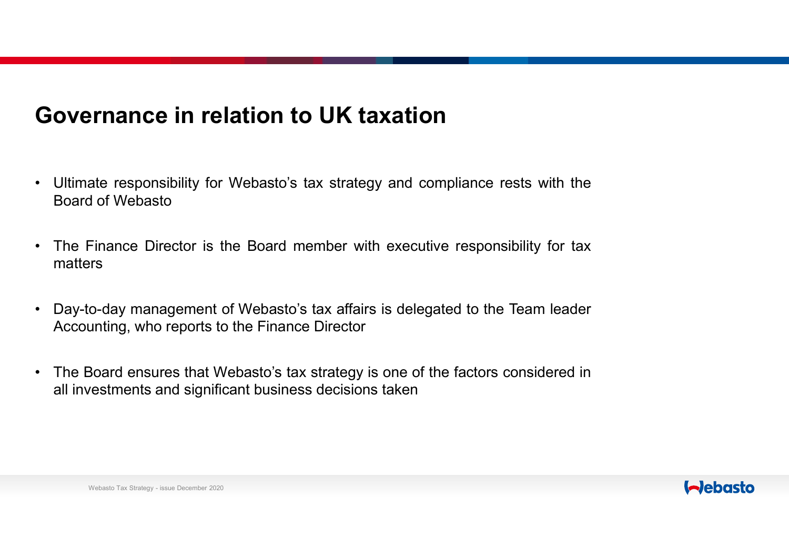## Governance in relation to UK taxation

- **Governance in relation to UK taxation<br>• Ultimate responsibility for Webasto's tax strategy and compliance rests with the Board of Webasto<br>• The Finance Director is the Board member with executive responsibility for tax. OVernance in relation to UK taxation**<br>Ultimate responsibility for Webasto's tax strategy and Roard of Webasto<br>The Finance Director is the Board member with execulent
- **Governance in relation to UK taxation**<br>• Ultimate responsibility for Webasto's tax strategy and compliance rests with the Board of Webasto<br>• The Finance Director is the Board member with executive responsibility for tax<br>m matters • Ultimate responsibility for Webasto's tax strategy and compliance rests with the Board of Webasto<br>• The Finance Director is the Board member with executive responsibility for tax<br>• May-to-day management of Webasto's tax **OVETNANCE in relation to UK taxation**<br>
Ultimate responsibility for Webasto's tax strategy and compliance rests with the<br>
Board of Webasto<br>
The Finance Director is the Board member with executive responsibility for tax<br>
ma • Ultimate responsibility for Webasto's tax strategy and compliance rests with the<br>Board of Webasto<br>• The Finance Director is the Board member with executive responsibility for tax<br>matters<br>• Day-to-day management of Webast Ultimate responsibility for Webasto's tax strategy and compliance rests with the Board of Webasto<br>The Finance Director is the Board member with executive responsibility for tax<br>matters<br>Day-to-day management of Webasto's ta
- -Inance Director is the Board member with executive refrs<br>spaces that<br>o-day management of Webasto's tax affairs is delegated<br>unting, who reports to the Finance Director<br>Board ensures that Webasto's tax strategy is one of t
- 



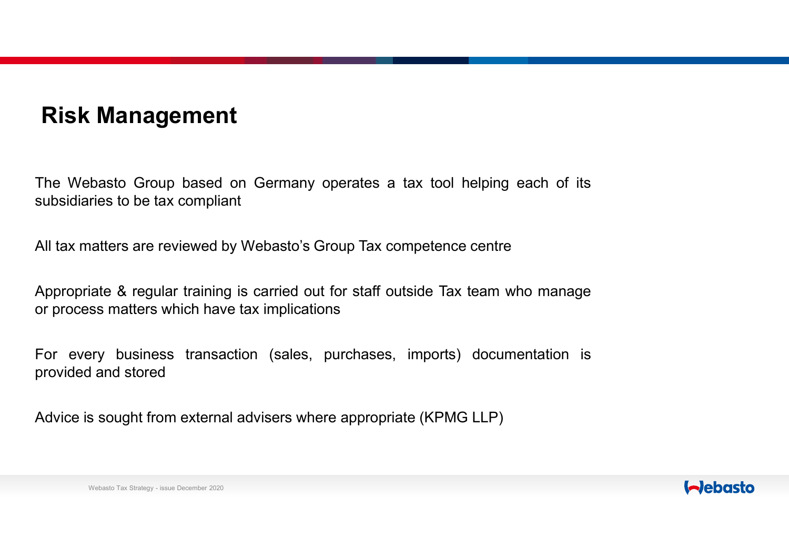## Risk Management

**Risk Management**<br>The Webasto Group based on Germany operates a tax tool helping each of its<br>subsidiaries to be tax compliant<br>All tax matters are reviewed by Webasto's Group Tax compatience control Risk Management<br>The Webasto Group based on Germany operates a tax tool help<br>subsidiaries to be tax compliant<br>All tax matters are reviewed by Webasto's Group Tax competence ce Risk Management<br>The Webasto Group based on Germany operates a tax tool helping each of its<br>subsidiaries to be tax compliant<br>All tax matters are reviewed by Webasto's Group Tax competence centre<br>Appropriate & regular traini **Appropriate & regular training is carried out for staff outside Tax team who management of the subsidiaries to be tax compliant**<br>All tax matters are reviewed by Webasto's Group Tax competence centre<br>Appropriate & regular **Risk Management**<br>The Webasto Group based on Germany operates a tax tool helping each of<br>subsidiaries to be tax compliant<br>All tax matters are reviewed by Webasto's Group Tax competence centre<br>Appropriate & regular training **FISK Management**<br>The Webasto Group based on Germany operates a tax tool helping each of its<br>subsidiaries to be tax compliant<br>All tax matters are reviewed by Webasto's Group Tax competence centre<br>Appropriate & regular trai The Webasto Group based on Germany operates a tax<br>subsidiaries to be tax compliant<br>All tax matters are reviewed by Webasto's Group Tax compe<sup>2</sup><br>Appropriate & regular training is carried out for staff outside<br>or process mat The Webasto Group based on Germany operates a tax tool helping each of its<br>subsidiaries to be tax compliant<br>All tax matters are reviewed by Webasto's Group Tax competence centre<br>Appropriate & regular training is carried ou

natters are reviewed by Webasto's Group Tax competence<br>liate & regular training is carried out for staff outside Tax<br>ss matters which have tax implications<br>ery business transaction (sales, purchases, imports)<br>and stored<br>s

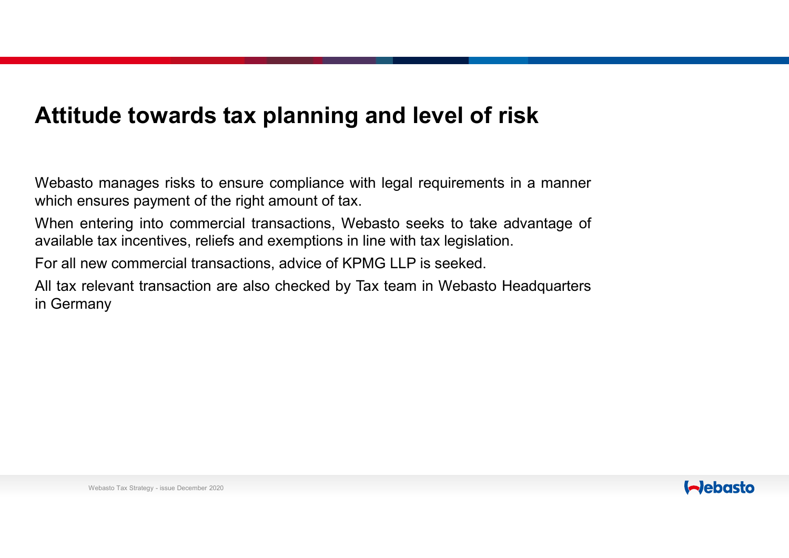## Attitude towards tax planning and level of risk

**Attitude towards tax planning and level of risk**<br>Webasto manages risks to ensure compliance with legal requirements in a manner<br>which ensures payment of the right amount of tax.<br>When entering into commercial transactions, **Attitude towards tax planning and level of risk**<br>Webasto manages risks to ensure compliance with legal requirements in a manner<br>which ensures payment of the right amount of tax.<br>When entering into commercial transactions, **Attitude towards tax planning and level of risk**<br>Webasto manages risks to ensure compliance with legal requirements in a manner<br>which ensures payment of the right amount of tax.<br>When entering into commercial transactions, **Attitude towards tax planning and level of risk**<br>Webasto manages risks to ensure compliance with legal requirements in a manner<br>which ensures payment of the right amount of tax.<br>When entering into commercial transactions, **Attitude towards tax planning and level of risk**<br>Webasto manages risks to ensure compliance with legal requirements in a manner<br>which ensures payment of the right amount of tax.<br>When entering into commercial transactions, **Attitude towards tax planning and level of risk**<br>Webasto manages risks to ensure compliance with legal requirements in a manner<br>Which ensures payment of the right amount of tax.<br>When entering into commercial transactions, **Attitude towards tax planning**<br>Webasto manages risks to ensure compliance w<br>which ensures payment of the right amount of tax<br>When entering into commercial transactions, W<br>available tax incentives, reliefs and exemptions i

 $\epsilon$  ax incentives, reflers and exemptions in the with tax legitible evaluation.<br>
Evaluation transaction are also checked by Tax team in Web<br>
any<br>
Webasto Tax Strategy - issue December 2020

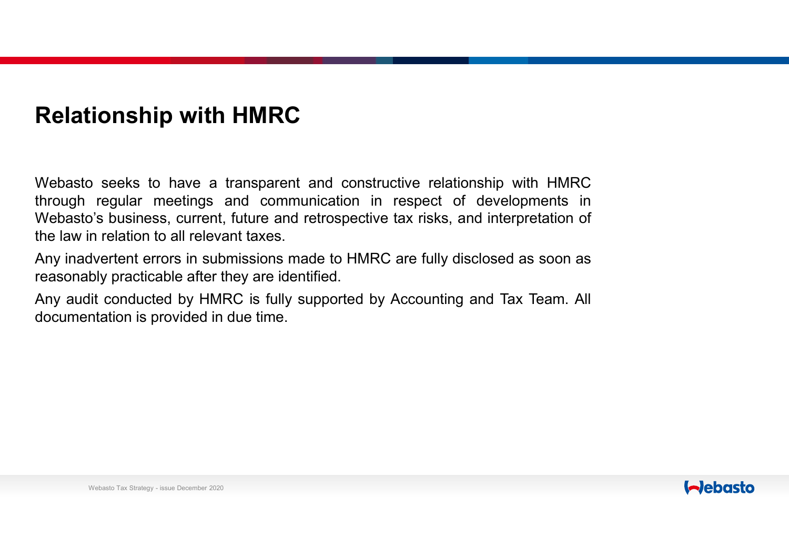## Relationship with HMRC

**Relationship with HMRC**<br>Webasto seeks to have a transparent and constructive relationship with HMRC<br>through regular meetings and communication in respect of developments in<br>Webasto's business, current, future and retrospe **Relationship with HMRC**<br>Webasto seeks to have a transparent and constructive relationship with HMRC<br>through regular meetings and communication in respect of developments in<br>Webasto's business, current, future and retrospe **Relationship with HMRC**<br>Webasto seeks to have a transparent and constructive relationship with HMRC<br>through regular meetings and communication in respect of developments in<br>Webasto's business, current, future and retrospe **Relationship with HMRC**<br>Webasto seeks to have a transparent and constructive relationship with H<br>through regular meetings and communication in respect of developmer<br>Webasto's business, current, future and retrospective ta **Relationship with HMRC**<br>Webasto seeks to have a transparent and constructive relationship with HMRC<br>through regular meetings and communication in respect of developments in<br>Webasto's business, current, future and retrospe **Relationship with HMRC**<br>Webasto seeks to have a transparent and constructive relationship with HMR<br>through regular meetings and communication in respect of developments in<br>Webasto's business, current, future and retrospec **Relationship with HMRC**<br>Webasto seeks to have a transparent and constructive relationship with HMRC<br>through regular meetings and communication in respect of developments in<br>Webasto's business, current, future and retrospe **Relationship with HMRC**<br>Webasto seeks to have a transparent and constructive relationship with HM<br>through regular meetings and communication in respect of development<br>Webasto's business, current, future and retrospective

Ny practicable after they are identified.<br>
We practicable after they are identified.<br>
We conducted by HMRC is fully supported by Accounting<br>
Intation is provided in due time.<br>
Webasto Tax Strategy - issue December 2020

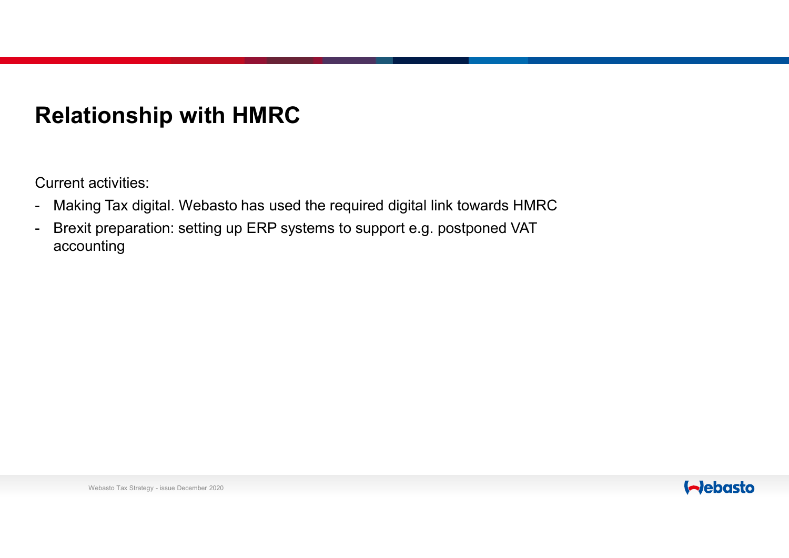# Relationship with HMRC

Current activities:

- 
- Relationship with HMRC<br>Current activities:<br>- Making Tax digital. Webasto has used the required digital link towards HMRC<br>- Brexit preparation: setting up ERP systems to support e.g. postponed VAT<br>accounting **Relationship with HMRC**<br>- Waking Tax digital. Webasto has used the required digital link towards HMRC<br>- Brexit preparation: setting up ERP systems to support e.g. postponed VAT<br>- accounting accounting Webasto Tax Strategy - issue December 2020

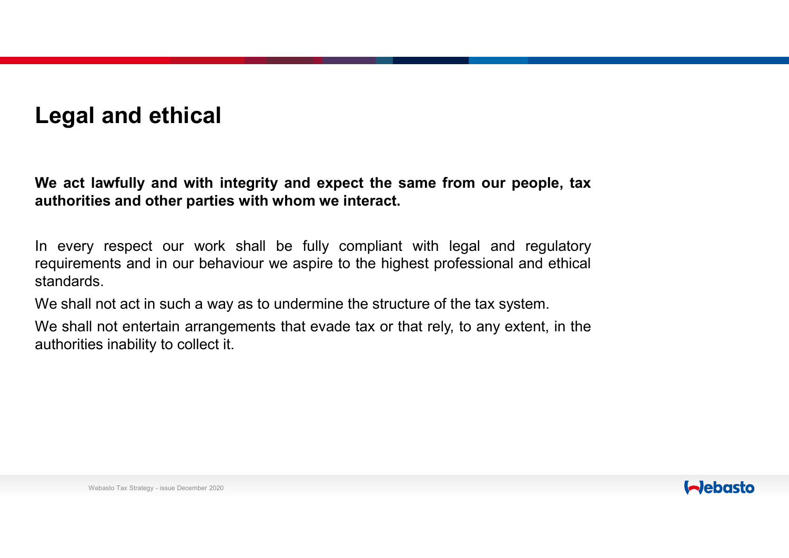## Legal and ethical

Legal and ethical<br>We act lawfully and with integrity and expect the same from our people, tax<br>authorities and other parties with whom we interact.<br>In every respect our work shall be fully complient with local and requisito Legal and ethical<br>We act lawfully and with integrity and expect the same from our people, tax<br>authorities and other parties with whom we interact.<br>In every respect our work shall be fully compliant with legal and regulator

**Legal and ethical**<br>We act lawfully and with integrity and expect the same from our people, tax<br>authorities and other parties with whom we interact.<br>In every respect our work shall be fully compliant with legal and regulat Legal and ethical<br>We act lawfully and with integrity and expect the same from our people, tax<br>authorities and other parties with whom we interact.<br>In every respect our work shall be fully compliant with legal and regulator standards. Legal and ethical<br>We act lawfully and with integrity and expect the same from our people, tax<br>authorities and other parties with whom we interact.<br>In every respect our work shall be fully compliant with legal and regulator Legal and ethical<br>We act lawfully and with integrity and expect the same from our people, tax<br>authorities and other parties with whom we interact.<br>In every respect our work shall be fully compliant with legal and regulator Legal and ethical<br>We act lawfully and with integrity and expect the same from our pe<br>authorities and other parties with whom we interact.<br>In every respect our work shall be fully compliant with legal and re<br>equirements and Network Shall be fully compliant with legients and in our behaviour we aspire to the highest professors.<br>I not act in such a way as to undermine the structure of the line of the line of the line of the line of the line of

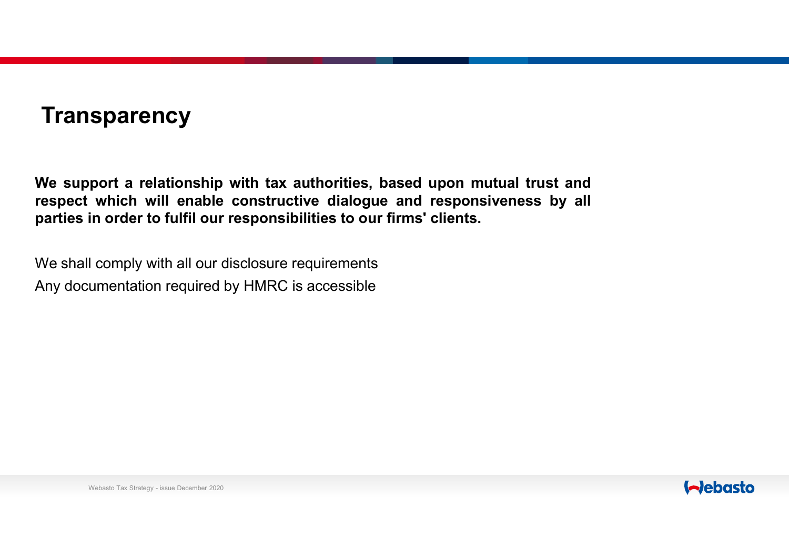### **Transparency**

**Transparency**<br>We support a relationship with tax authorities, based upon mutual trust and<br>respect which will enable constructive dialogue and responsiveness by all<br>parties in order to fulfil our responsibilities to our fi Transparency<br>We support a relationship with tax authorities, based upon mutual trust and<br>respect which will enable constructive dialogue and responsiveness by all<br>parties in order to fulfil our responsibilities to our firm **Transparency**<br>We support a relationship with tax authorities, based upon mutual trust and<br>respect which will enable constructive dialogue and responsiveness by all<br>parties in order to fulfil our responsibilities to our fi Transparency<br>We support a relationship with tax authorities, based upon mutual trust and<br>respect which will enable constructive dialogue and responsiveness by all<br>parties in order to fulfil our responsibilities to our firm Transparency<br>We support a relationship with tax authorities, based upon mutual trust and<br>respect which will enable constructive dialogue and responsiveness by all<br>parties in order to fulfil our responsibilities to our firm

 $\blacksquare$  comply with all our disclosure requirements<br>umentation required by HMRC is accessible<br> $\blacksquare$ 

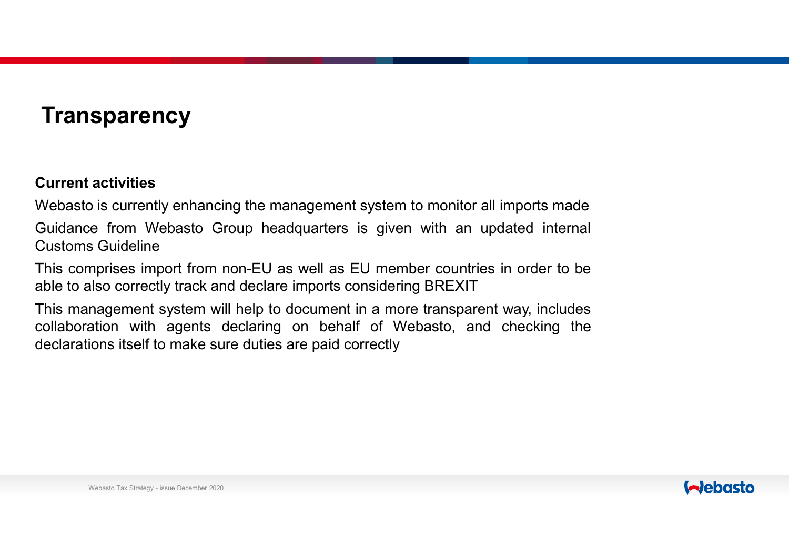## **Transparency**

**Transparency<br>Current activities<br>Webasto is currently enhancing the management syster<br>Guidance from Webasto Group headquarters is give** Transparency<br>
Current activities<br>
Webasto is currently enhancing the management system to monitor all imports made<br>
Cuidance from Webasto Group headquarters is given with an updated internal<br>
Customs Guidance import from n Transparency<br>
Current activities<br>
Webasto is currently enhancing the management system to monitor all imports made<br>
Guidance from Webasto Group headquarters is given with an updated internal<br>
Customs Guideline<br>
This compri **Transparency**<br> **Current activities**<br>
Webasto is currently enhancing the management system<br>
Guidance from Webasto Group headquarters is give<br>
Customs Guideline<br>
This comprises import from non-EU as well as EU mem<br>
able to **Transparency**<br> **Current activities**<br>
Webasto is currently enhancing the management system to monitor all imports made<br>
Guidance from Webasto Group headquarters is given with an updated internal<br>
Customs Guideline<br>
This co **Transparency**<br>
Current activities<br>
Webasto is currently enhancing the management system to monitor all imports made<br>
Guidance from Webasto Group headquarters is given with an updated internal<br>
Customs Guideline<br>
This comp **Transparency**<br>
Current activities<br>
Webasto is currently enhancing the management system to monitor all imports made<br>
Guidance from Webasto Group headquarters is given with an updated internal<br>
Customs Guideline<br>
This comp **Transparency**<br>
Current activities<br>
Webasto is currently enhancing the management system to monitor all imports made<br>
Guidance from Webasto Group headquarters is given with an updated internal<br>
Customs Guideline<br>
This comp **Transparency**<br> **Current activities**<br>
Webasto is currently enhancing the management system to monitor all imports made<br>
Guidance from Webasto Group headquarters is given with an updated internal<br>
Customs Guideline<br>
able to

S Guideline<br>nprises import from non-EU as well as EU member coun<br>also correctly track and declare imports considering BREX<br>nagement system will help to document in a more transpation with agents declaring on behalf of Weba